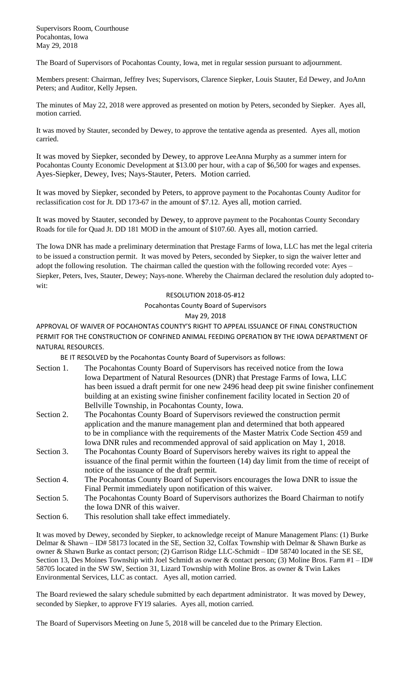Supervisors Room, Courthouse Pocahontas, Iowa May 29, 2018

The Board of Supervisors of Pocahontas County, Iowa, met in regular session pursuant to adjournment.

Members present: Chairman, Jeffrey Ives; Supervisors, Clarence Siepker, Louis Stauter, Ed Dewey, and JoAnn Peters; and Auditor, Kelly Jepsen.

The minutes of May 22, 2018 were approved as presented on motion by Peters, seconded by Siepker. Ayes all, motion carried.

It was moved by Stauter, seconded by Dewey, to approve the tentative agenda as presented. Ayes all, motion carried.

It was moved by Siepker, seconded by Dewey, to approve LeeAnna Murphy as a summer intern for Pocahontas County Economic Development at \$13.00 per hour, with a cap of \$6,500 for wages and expenses. Ayes-Siepker, Dewey, Ives; Nays-Stauter, Peters. Motion carried.

It was moved by Siepker, seconded by Peters, to approve payment to the Pocahontas County Auditor for reclassification cost for Jt. DD 173-67 in the amount of \$7.12. Ayes all, motion carried.

It was moved by Stauter, seconded by Dewey, to approve payment to the Pocahontas County Secondary Roads for tile for Quad Jt. DD 181 MOD in the amount of \$107.60. Ayes all, motion carried.

The Iowa DNR has made a preliminary determination that Prestage Farms of Iowa, LLC has met the legal criteria to be issued a construction permit. It was moved by Peters, seconded by Siepker, to sign the waiver letter and adopt the following resolution. The chairman called the question with the following recorded vote: Ayes – Siepker, Peters, Ives, Stauter, Dewey; Nays-none. Whereby the Chairman declared the resolution duly adopted towit: with the contract of the contract of the contract of the contract of the contract of the contract of the contract of the contract of the contract of the contract of the contract of the contract of the contract of the

## RESOLUTION 2018-05-#12

Pocahontas County Board of Supervisors

## May 29, 2018

APPROVAL OF WAIVER OF POCAHONTAS COUNTY'S RIGHT TO APPEAL ISSUANCE OF FINAL CONSTRUCTION PERMIT FOR THE CONSTRUCTION OF CONFINED ANIMAL FEEDING OPERATION BY THE IOWA DEPARTMENT OF NATURAL RESOURCES.

BE IT RESOLVED by the Pocahontas County Board of Supervisors as follows:

- Section 1. The Pocahontas County Board of Supervisors has received notice from the Iowa Iowa Department of Natural Resources (DNR) that Prestage Farms of Iowa, LLC has been issued a draft permit for one new 2496 head deep pit swine finisher confinement building at an existing swine finisher confinement facility located in Section 20 of Bellville Township, in Pocahontas County, Iowa.
- Section 2. The Pocahontas County Board of Supervisors reviewed the construction permit application and the manure management plan and determined that both appeared to be in compliance with the requirements of the Master Matrix Code Section 459 and Iowa DNR rules and recommended approval of said application on May 1, 2018.
- Section 3. The Pocahontas County Board of Supervisors hereby waives its right to appeal the issuance of the final permit within the fourteen (14) day limit from the time of receipt of notice of the issuance of the draft permit.
- Section 4. The Pocahontas County Board of Supervisors encourages the Iowa DNR to issue the Final Permit immediately upon notification of this waiver.
- Section 5. The Pocahontas County Board of Supervisors authorizes the Board Chairman to notify the Iowa DNR of this waiver.
- Section 6. This resolution shall take effect immediately.

It was moved by Dewey, seconded by Siepker, to acknowledge receipt of Manure Management Plans: (1) Burke Delmar & Shawn – ID# 58173 located in the SE, Section 32, Colfax Township with Delmar & Shawn Burke as owner & Shawn Burke as contact person; (2) Garrison Ridge LLC-Schmidt – ID# 58740 located in the SE SE, Section 13, Des Moines Township with Joel Schmidt as owner & contact person; (3) Moline Bros. Farm #1 – ID# 58705 located in the SW SW, Section 31, Lizard Township with Moline Bros. as owner & Twin Lakes Environmental Services, LLC as contact. Ayes all, motion carried.

The Board reviewed the salary schedule submitted by each department administrator. It was moved by Dewey, seconded by Siepker, to approve FY19 salaries. Ayes all, motion carried.

The Board of Supervisors Meeting on June 5, 2018 will be canceled due to the Primary Election.